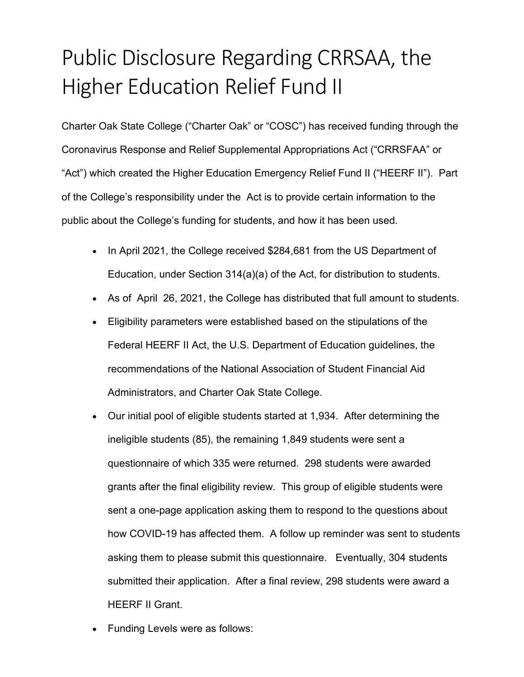## Public Disclosure Regarding CRRSAA, the Higher Education Relief Fund II

Charter Oak State College ("Charter Oak" or "COSC") has received funding through the Coronavirus Response and Relief Supplemental Appropriations Act ("CRRSFAA" or "Act") which created the Higher Education Emergency Relief Fund II ("HEERF II"). Part of the College's responsibility under the Act is to provide certain information to the public about the College's funding for students, and how it has been used.

- In April 2021, the College received \$284,681 from the US Department of Education, under Section 314(a)(a) of the Act, for distribution to students.
- As of April 26, 2021, the College has distributed that full amount to students.
- Eligibility parameters were established based on the stipulations of the Federal HEERF II Act, the U.S. Department of Education guidelines, the recommendations of the National Association of Student Financial Aid Administrators, and Charter Oak State College.
- Our initial pool of eligible students started at 1,934. After determining the ineligible students (85), the remaining 1,849 students were sent a questionnaire of which 335 were returned. 298 students were awarded grants after the final eligibility review. This group of eligible students were sent a one-page application asking them to respond to the questions about how COVID-19 has affected them. A follow up reminder was sent to students asking them to please submit this questionnaire. Eventually, 304 students submitted their application. After a final review, 298 students were award a HEERF II Grant.
- Funding Levels were as follows: